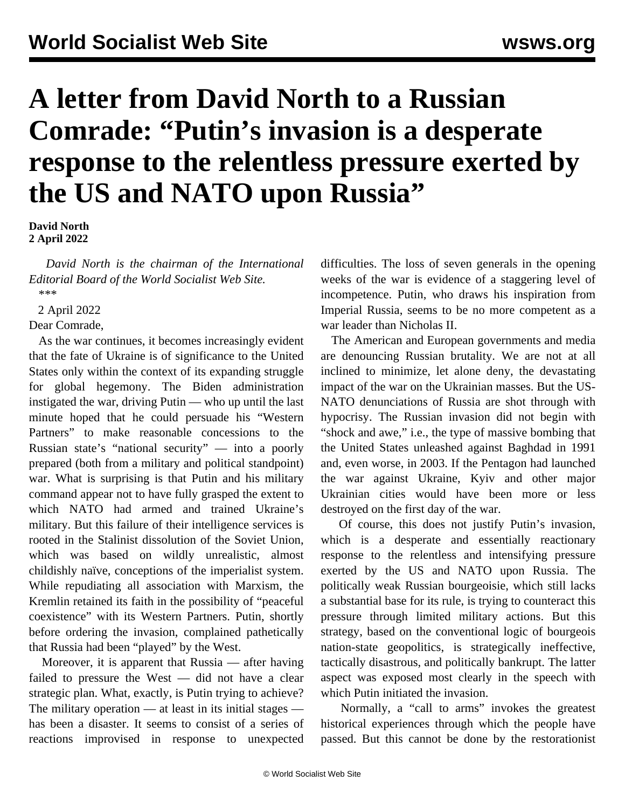## **A letter from David North to a Russian Comrade: "Putin's invasion is a desperate response to the relentless pressure exerted by the US and NATO upon Russia"**

**David North 2 April 2022**

 *David North is the chairman of the International Editorial Board of the World Socialist Web Site. \*\*\**

2 April 2022

Dear Comrade,

 As the war continues, it becomes increasingly evident that the fate of Ukraine is of significance to the United States only within the context of its expanding struggle for global hegemony. The Biden administration instigated the war, driving Putin — who up until the last minute hoped that he could persuade his "Western Partners" to make reasonable concessions to the Russian state's "national security" — into a poorly prepared (both from a military and political standpoint) war. What is surprising is that Putin and his military command appear not to have fully grasped the extent to which NATO had armed and trained Ukraine's military. But this failure of their intelligence services is rooted in the Stalinist dissolution of the Soviet Union, which was based on wildly unrealistic, almost childishly naïve, conceptions of the imperialist system. While repudiating all association with Marxism, the Kremlin retained its faith in the possibility of "peaceful coexistence" with its Western Partners. Putin, shortly before ordering the invasion, complained pathetically that Russia had been "played" by the West.

 Moreover, it is apparent that Russia — after having failed to pressure the West — did not have a clear strategic plan. What, exactly, is Putin trying to achieve? The military operation — at least in its initial stages has been a disaster. It seems to consist of a series of reactions improvised in response to unexpected

difficulties. The loss of seven generals in the opening weeks of the war is evidence of a staggering level of incompetence. Putin, who draws his inspiration from Imperial Russia, seems to be no more competent as a war leader than Nicholas II.

 The American and European governments and media are denouncing Russian brutality. We are not at all inclined to minimize, let alone deny, the devastating impact of the war on the Ukrainian masses. But the US-NATO denunciations of Russia are shot through with hypocrisy. The Russian invasion did not begin with "shock and awe," i.e., the type of massive bombing that the United States unleashed against Baghdad in 1991 and, even worse, in 2003. If the Pentagon had launched the war against Ukraine, Kyiv and other major Ukrainian cities would have been more or less destroyed on the first day of the war.

 Of course, this does not justify Putin's invasion, which is a desperate and essentially reactionary response to the relentless and intensifying pressure exerted by the US and NATO upon Russia. The politically weak Russian bourgeoisie, which still lacks a substantial base for its rule, is trying to counteract this pressure through limited military actions. But this strategy, based on the conventional logic of bourgeois nation-state geopolitics, is strategically ineffective, tactically disastrous, and politically bankrupt. The latter aspect was exposed most clearly in the speech with which Putin initiated the invasion.

 Normally, a "call to arms" invokes the greatest historical experiences through which the people have passed. But this cannot be done by the restorationist